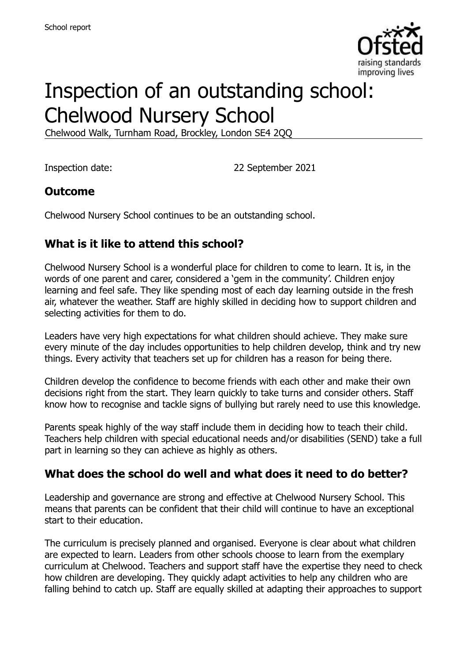

# Inspection of an outstanding school: Chelwood Nursery School

Chelwood Walk, Turnham Road, Brockley, London SE4 2QQ

Inspection date: 22 September 2021

## **Outcome**

Chelwood Nursery School continues to be an outstanding school.

## **What is it like to attend this school?**

Chelwood Nursery School is a wonderful place for children to come to learn. It is, in the words of one parent and carer, considered a 'gem in the community'. Children enjoy learning and feel safe. They like spending most of each day learning outside in the fresh air, whatever the weather. Staff are highly skilled in deciding how to support children and selecting activities for them to do.

Leaders have very high expectations for what children should achieve. They make sure every minute of the day includes opportunities to help children develop, think and try new things. Every activity that teachers set up for children has a reason for being there.

Children develop the confidence to become friends with each other and make their own decisions right from the start. They learn quickly to take turns and consider others. Staff know how to recognise and tackle signs of bullying but rarely need to use this knowledge.

Parents speak highly of the way staff include them in deciding how to teach their child. Teachers help children with special educational needs and/or disabilities (SEND) take a full part in learning so they can achieve as highly as others.

### **What does the school do well and what does it need to do better?**

Leadership and governance are strong and effective at Chelwood Nursery School. This means that parents can be confident that their child will continue to have an exceptional start to their education.

The curriculum is precisely planned and organised. Everyone is clear about what children are expected to learn. Leaders from other schools choose to learn from the exemplary curriculum at Chelwood. Teachers and support staff have the expertise they need to check how children are developing. They quickly adapt activities to help any children who are falling behind to catch up. Staff are equally skilled at adapting their approaches to support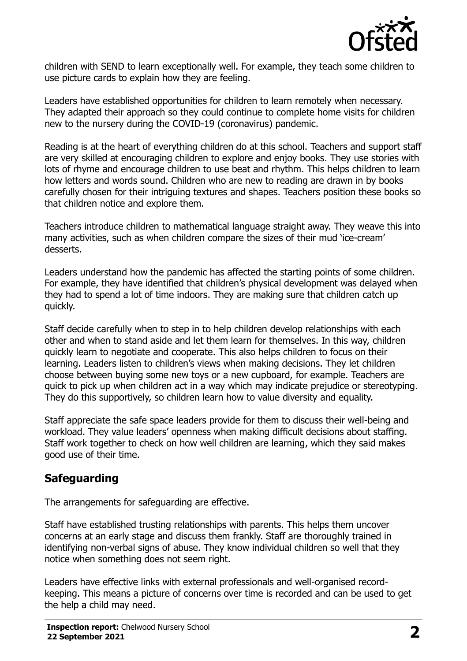

children with SEND to learn exceptionally well. For example, they teach some children to use picture cards to explain how they are feeling.

Leaders have established opportunities for children to learn remotely when necessary. They adapted their approach so they could continue to complete home visits for children new to the nursery during the COVID-19 (coronavirus) pandemic.

Reading is at the heart of everything children do at this school. Teachers and support staff are very skilled at encouraging children to explore and enjoy books. They use stories with lots of rhyme and encourage children to use beat and rhythm. This helps children to learn how letters and words sound. Children who are new to reading are drawn in by books carefully chosen for their intriguing textures and shapes. Teachers position these books so that children notice and explore them.

Teachers introduce children to mathematical language straight away. They weave this into many activities, such as when children compare the sizes of their mud 'ice-cream' desserts.

Leaders understand how the pandemic has affected the starting points of some children. For example, they have identified that children's physical development was delayed when they had to spend a lot of time indoors. They are making sure that children catch up quickly.

Staff decide carefully when to step in to help children develop relationships with each other and when to stand aside and let them learn for themselves. In this way, children quickly learn to negotiate and cooperate. This also helps children to focus on their learning. Leaders listen to children's views when making decisions. They let children choose between buying some new toys or a new cupboard, for example. Teachers are quick to pick up when children act in a way which may indicate prejudice or stereotyping. They do this supportively, so children learn how to value diversity and equality.

Staff appreciate the safe space leaders provide for them to discuss their well-being and workload. They value leaders' openness when making difficult decisions about staffing. Staff work together to check on how well children are learning, which they said makes good use of their time.

### **Safeguarding**

The arrangements for safeguarding are effective.

Staff have established trusting relationships with parents. This helps them uncover concerns at an early stage and discuss them frankly. Staff are thoroughly trained in identifying non-verbal signs of abuse. They know individual children so well that they notice when something does not seem right.

Leaders have effective links with external professionals and well-organised recordkeeping. This means a picture of concerns over time is recorded and can be used to get the help a child may need.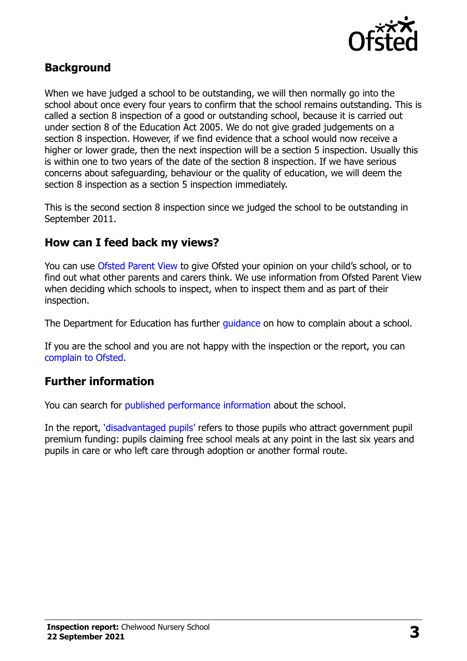

## **Background**

When we have judged a school to be outstanding, we will then normally go into the school about once every four years to confirm that the school remains outstanding. This is called a section 8 inspection of a good or outstanding school, because it is carried out under section 8 of the Education Act 2005. We do not give graded judgements on a section 8 inspection. However, if we find evidence that a school would now receive a higher or lower grade, then the next inspection will be a section 5 inspection. Usually this is within one to two years of the date of the section 8 inspection. If we have serious concerns about safeguarding, behaviour or the quality of education, we will deem the section 8 inspection as a section 5 inspection immediately.

This is the second section 8 inspection since we judged the school to be outstanding in September 2011.

#### **How can I feed back my views?**

You can use [Ofsted Parent View](https://parentview.ofsted.gov.uk/) to give Ofsted your opinion on your child's school, or to find out what other parents and carers think. We use information from Ofsted Parent View when deciding which schools to inspect, when to inspect them and as part of their inspection.

The Department for Education has further quidance on how to complain about a school.

If you are the school and you are not happy with the inspection or the report, you can [complain to Ofsted.](https://www.gov.uk/complain-ofsted-report)

### **Further information**

You can search for [published performance information](http://www.compare-school-performance.service.gov.uk/) about the school.

In the report, '[disadvantaged pupils](http://www.gov.uk/guidance/pupil-premium-information-for-schools-and-alternative-provision-settings)' refers to those pupils who attract government pupil premium funding: pupils claiming free school meals at any point in the last six years and pupils in care or who left care through adoption or another formal route.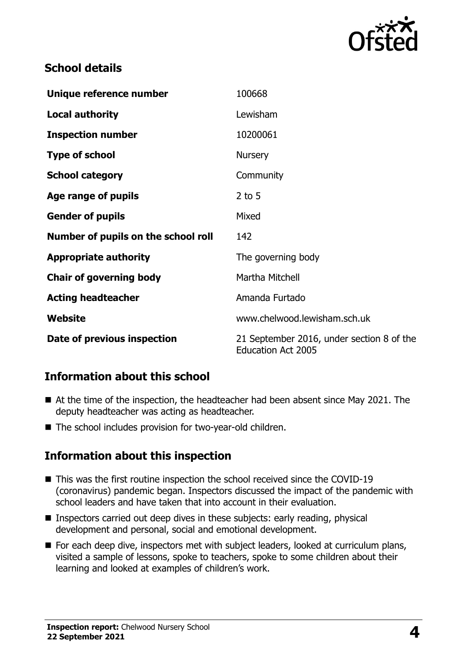

## **School details**

| Unique reference number             | 100668                                                                 |
|-------------------------------------|------------------------------------------------------------------------|
| <b>Local authority</b>              | Lewisham                                                               |
| <b>Inspection number</b>            | 10200061                                                               |
| <b>Type of school</b>               | <b>Nursery</b>                                                         |
| <b>School category</b>              | Community                                                              |
| Age range of pupils                 | $2$ to 5                                                               |
| <b>Gender of pupils</b>             | Mixed                                                                  |
| Number of pupils on the school roll | 142                                                                    |
| <b>Appropriate authority</b>        | The governing body                                                     |
| <b>Chair of governing body</b>      | Martha Mitchell                                                        |
| <b>Acting headteacher</b>           | Amanda Furtado                                                         |
| Website                             | www.chelwood.lewisham.sch.uk                                           |
| Date of previous inspection         | 21 September 2016, under section 8 of the<br><b>Education Act 2005</b> |

## **Information about this school**

- At the time of the inspection, the headteacher had been absent since May 2021. The deputy headteacher was acting as headteacher.
- The school includes provision for two-year-old children.

### **Information about this inspection**

- This was the first routine inspection the school received since the COVID-19 (coronavirus) pandemic began. Inspectors discussed the impact of the pandemic with school leaders and have taken that into account in their evaluation.
- Inspectors carried out deep dives in these subjects: early reading, physical development and personal, social and emotional development.
- For each deep dive, inspectors met with subject leaders, looked at curriculum plans, visited a sample of lessons, spoke to teachers, spoke to some children about their learning and looked at examples of children's work.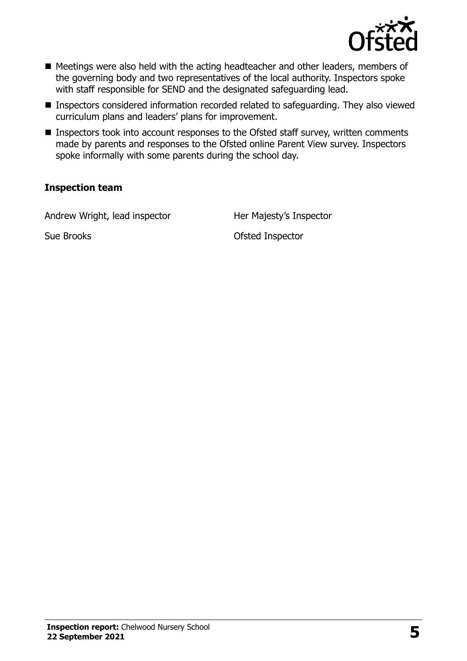

- Meetings were also held with the acting headteacher and other leaders, members of the governing body and two representatives of the local authority. Inspectors spoke with staff responsible for SEND and the designated safeguarding lead.
- Inspectors considered information recorded related to safeguarding. They also viewed curriculum plans and leaders' plans for improvement.
- Inspectors took into account responses to the Ofsted staff survey, written comments made by parents and responses to the Ofsted online Parent View survey. Inspectors spoke informally with some parents during the school day.

#### **Inspection team**

Andrew Wright, lead inspector **Her Majesty's Inspector** 

Sue Brooks **Ofsted Inspector**